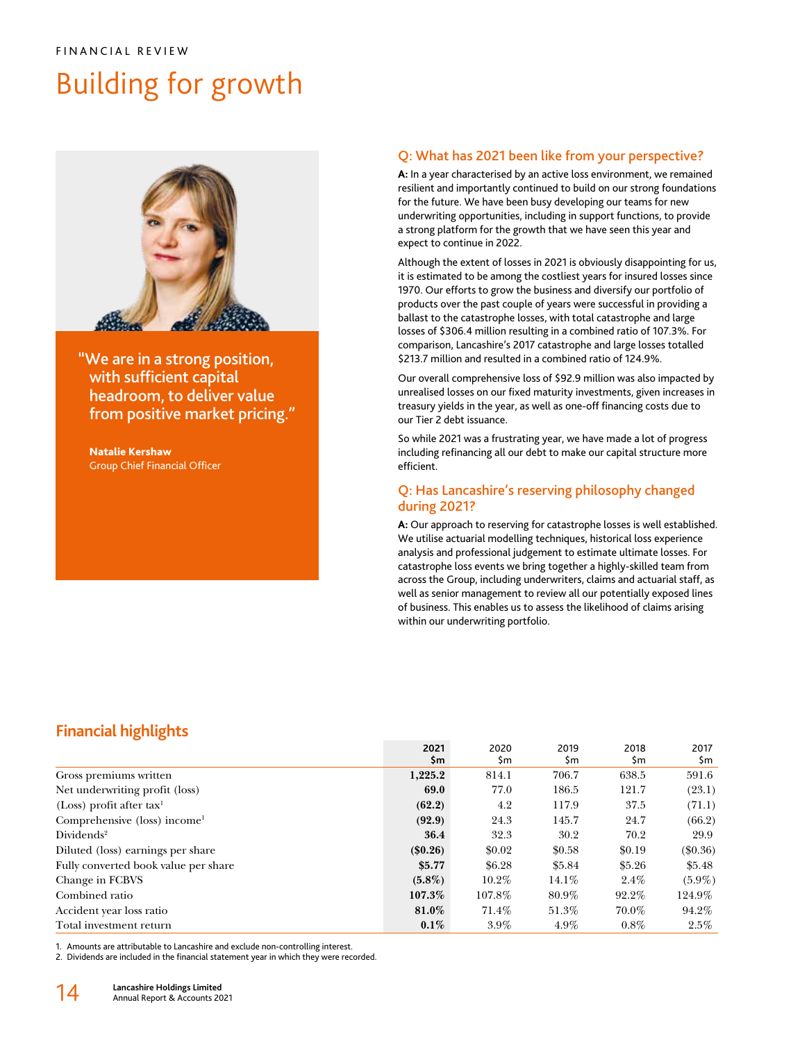# Building for growth



"We are in a strong position, with sufficient capital headroom, to deliver value from positive market pricing."

Natalie Kershaw Group Chief Financial Officer

## Q: What has 2021 been like from your perspective?

**A:** In a year characterised by an active loss environment, we remained resilient and importantly continued to build on our strong foundations for the future. We have been busy developing our teams for new underwriting opportunities, including in support functions, to provide a strong platform for the growth that we have seen this year and expect to continue in 2022.

Although the extent of losses in 2021 is obviously disappointing for us, it is estimated to be among the costliest years for insured losses since 1970. Our efforts to grow the business and diversify our portfolio of products over the past couple of years were successful in providing a ballast to the catastrophe losses, with total catastrophe and large losses of \$306.4 million resulting in a combined ratio of 107.3%. For comparison, Lancashire's 2017 catastrophe and large losses totalled \$213.7 million and resulted in a combined ratio of 124.9%.

Our overall comprehensive loss of \$92.9 million was also impacted by unrealised losses on our fixed maturity investments, given increases in treasury yields in the year, as well as one-off financing costs due to our Tier 2 debt issuance.

So while 2021 was a frustrating year, we have made a lot of progress including refinancing all our debt to make our capital structure more efficient.

## Q: Has Lancashire's reserving philosophy changed during 2021?

**A:** Our approach to reserving for catastrophe losses is well established. We utilise actuarial modelling techniques, historical loss experience analysis and professional judgement to estimate ultimate losses. For catastrophe loss events we bring together a highly-skilled team from across the Group, including underwriters, claims and actuarial staff, as well as senior management to review all our potentially exposed lines of business. This enables us to assess the likelihood of claims arising within our underwriting portfolio.

## **Financial highlights**

|                                          | 2021<br>\$m | 2020<br>\$m | 2019<br>\$m | 2018<br>\$m | 2017<br>\$m |
|------------------------------------------|-------------|-------------|-------------|-------------|-------------|
|                                          |             |             |             |             |             |
| Gross premiums written                   | 1,225.2     | 814.1       | 706.7       | 638.5       | 591.6       |
| Net underwriting profit (loss)           | 69.0        | 77.0        | 186.5       | 121.7       | (23.1)      |
| (Loss) profit after $tax1$               | (62.2)      | 4.2         | 117.9       | 37.5        | (71.1)      |
| Comprehensive (loss) income <sup>1</sup> | (92.9)      | 24.3        | 145.7       | 24.7        | (66.2)      |
| Dividends <sup>2</sup>                   | 36.4        | 32.3        | 30.2        | 70.2        | 29.9        |
| Diluted (loss) earnings per share        | (\$0.26)    | \$0.02      | \$0.58      | \$0.19      | $(\$0.36)$  |
| Fully converted book value per share     | \$5.77      | \$6.28      | \$5.84      | \$5.26      | \$5.48      |
| Change in FCBVS                          | $(5.8\%)$   | $10.2\%$    | $14.1\%$    | $2.4\%$     | $(5.9\%)$   |
| Combined ratio                           | 107.3%      | 107.8%      | $80.9\%$    | 92.2%       | 124.9%      |
| Accident year loss ratio                 | 81.0%       | 71.4%       | 51.3%       | 70.0%       | 94.2%       |
| Total investment return                  | $0.1\%$     | $3.9\%$     | $4.9\%$     | $0.8\%$     | $2.5\%$     |

1. Amounts are attributable to Lancashire and exclude non-controlling interest.

2. Dividends are included in the financial statement year in which they were recorded.